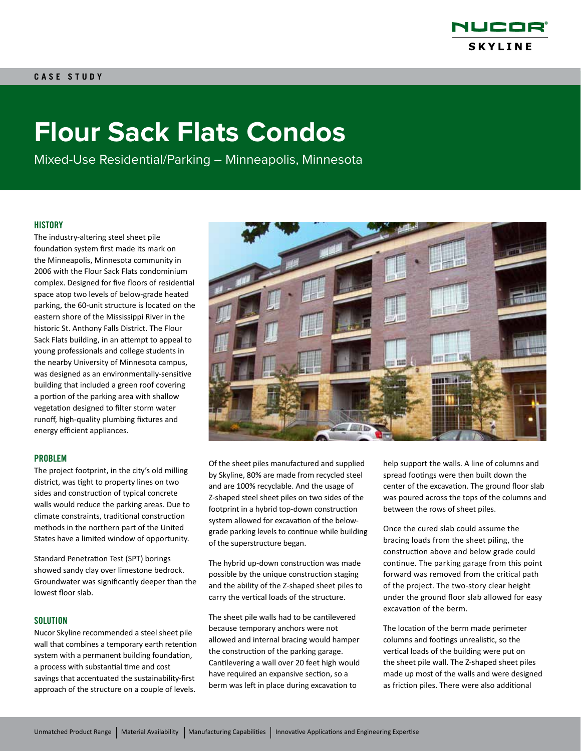

# **Flour Sack Flats Condos**

Mixed-Use Residential/Parking – Minneapolis, Minnesota

#### **HISTORY**

The industry-altering steel sheet pile foundation system first made its mark on the Minneapolis, Minnesota community in 2006 with the Flour Sack Flats condominium complex. Designed for five floors of residential space atop two levels of below-grade heated parking, the 60-unit structure is located on the eastern shore of the Mississippi River in the historic St. Anthony Falls District. The Flour Sack Flats building, in an attempt to appeal to young professionals and college students in the nearby University of Minnesota campus, was designed as an environmentally-sensitive building that included a green roof covering a portion of the parking area with shallow vegetation designed to filter storm water runoff, high-quality plumbing fixtures and energy efficient appliances.

### PROBLEM

The project footprint, in the city's old milling district, was tight to property lines on two sides and construction of typical concrete walls would reduce the parking areas. Due to climate constraints, traditional construction methods in the northern part of the United States have a limited window of opportunity.

Standard Penetration Test (SPT) borings showed sandy clay over limestone bedrock. Groundwater was significantly deeper than the lowest floor slab.

#### **SOLUTION**

Nucor Skyline recommended a steel sheet pile wall that combines a temporary earth retention system with a permanent building foundation, a process with substantial time and cost savings that accentuated the sustainability-first approach of the structure on a couple of levels.



Of the sheet piles manufactured and supplied by Skyline, 80% are made from recycled steel and are 100% recyclable. And the usage of Z-shaped steel sheet piles on two sides of the footprint in a hybrid top-down construction system allowed for excavation of the belowgrade parking levels to continue while building of the superstructure began.

The hybrid up-down construction was made possible by the unique construction staging and the ability of the Z-shaped sheet piles to carry the vertical loads of the structure.

The sheet pile walls had to be cantilevered because temporary anchors were not allowed and internal bracing would hamper the construction of the parking garage. Cantilevering a wall over 20 feet high would have required an expansive section, so a berm was left in place during excavation to

help support the walls. A line of columns and spread footings were then built down the center of the excavation. The ground floor slab was poured across the tops of the columns and between the rows of sheet piles.

Once the cured slab could assume the bracing loads from the sheet piling, the construction above and below grade could continue. The parking garage from this point forward was removed from the critical path of the project. The two-story clear height under the ground floor slab allowed for easy excavation of the berm.

The location of the berm made perimeter columns and footings unrealistic, so the vertical loads of the building were put on the sheet pile wall. The Z-shaped sheet piles made up most of the walls and were designed as friction piles. There were also additional